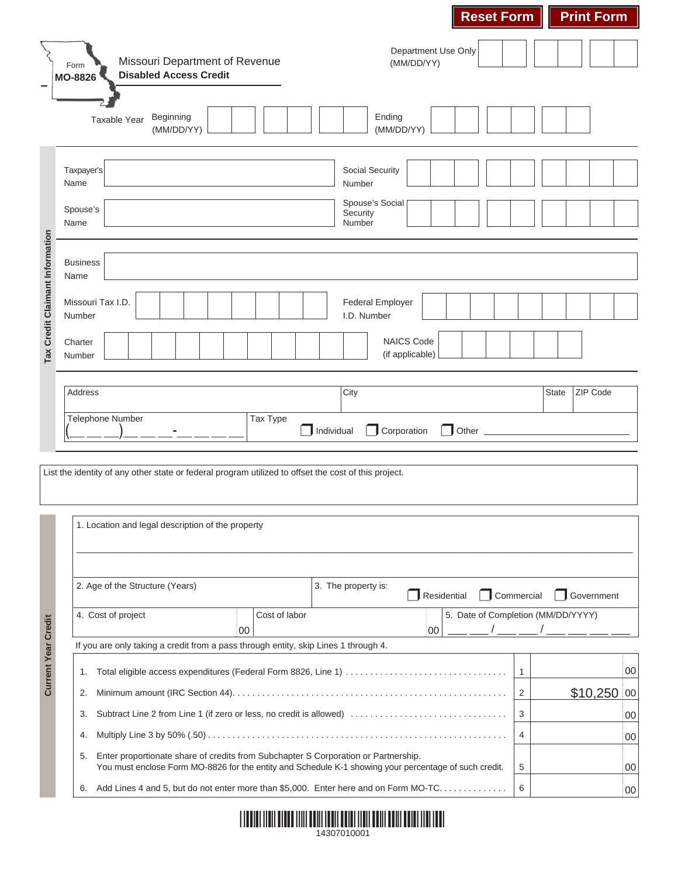|                                 |                                                                                                      |                                                                          | <b>Reset Form</b><br><b>Print Form</b>                                                                     |    |
|---------------------------------|------------------------------------------------------------------------------------------------------|--------------------------------------------------------------------------|------------------------------------------------------------------------------------------------------------|----|
|                                 | Missouri Department of Revenue<br>Form<br><b>Disabled Access Credit</b><br><b>MO-8826</b>            |                                                                          | Department Use Only<br>(MM/DD/YY)                                                                          |    |
|                                 | Beginning<br>Taxable Year<br>(MM/DD/YY)                                                              |                                                                          | Ending<br>(MM/DD/YY)                                                                                       |    |
|                                 | Taxpayer's<br>Name                                                                                   |                                                                          | <b>Social Security</b><br>Number                                                                           |    |
|                                 | Spouse's<br>Name                                                                                     |                                                                          | Spouse's Social<br>Security<br>Number                                                                      |    |
| Tax Credit Claimant Information | <b>Business</b><br>Name                                                                              |                                                                          |                                                                                                            |    |
|                                 | Missouri Tax I.D.<br>Number                                                                          |                                                                          | <b>Federal Employer</b><br>I.D. Number                                                                     |    |
|                                 | Charter<br>Number                                                                                    |                                                                          | <b>NAICS Code</b><br>(if applicable)                                                                       |    |
|                                 | Address                                                                                              |                                                                          | <b>State</b><br><b>ZIP Code</b><br>City                                                                    |    |
|                                 | Telephone Number                                                                                     | Tax Type                                                                 | Individual<br>Corporation<br>Other                                                                         |    |
|                                 | List the identity of any other state or federal program utilized to offset the cost of this project. |                                                                          |                                                                                                            |    |
|                                 | 1. Location and legal description of the property                                                    |                                                                          |                                                                                                            |    |
|                                 | 2. Age of the Structure (Years)                                                                      |                                                                          | 3. The property is:<br>Residential<br>Commercial<br>Government                                             |    |
|                                 | 4. Cost of project                                                                                   | Cost of labor<br>00                                                      | 5. Date of Completion (MM/DD/YYYY)<br>00                                                                   |    |
| <b>Current Year Credit</b>      | If you are only taking a credit from a pass through entity, skip Lines 1 through 4.                  |                                                                          |                                                                                                            |    |
|                                 | 1.                                                                                                   |                                                                          | $\mathbf{1}$                                                                                               | 00 |
|                                 | 2.                                                                                                   |                                                                          | $$10,250$ 00<br>$\overline{2}$                                                                             |    |
|                                 | 3.                                                                                                   | Subtract Line 2 from Line 1 (if zero or less, no credit is allowed)<br>3 | 00                                                                                                         |    |
|                                 | 4.                                                                                                   | 4                                                                        | 00                                                                                                         |    |
|                                 | Enter proportionate share of credits from Subchapter S Corporation or Partnership.<br>5.             |                                                                          | You must enclose Form MO-8826 for the entity and Schedule K-1 showing your percentage of such credit.<br>5 | 00 |
|                                 | 6.                                                                                                   |                                                                          | Add Lines 4 and 5, but do not enter more than \$5,000. Enter here and on Form MO-TC<br>6                   | 00 |

| <u> 1999 - Paris Maria Maria Maria Maria Maria Maria Maria Maria Maria Maria Maria Maria Maria Maria Maria Maria </u> |             |  |  |
|-----------------------------------------------------------------------------------------------------------------------|-------------|--|--|
|                                                                                                                       | 14307010001 |  |  |